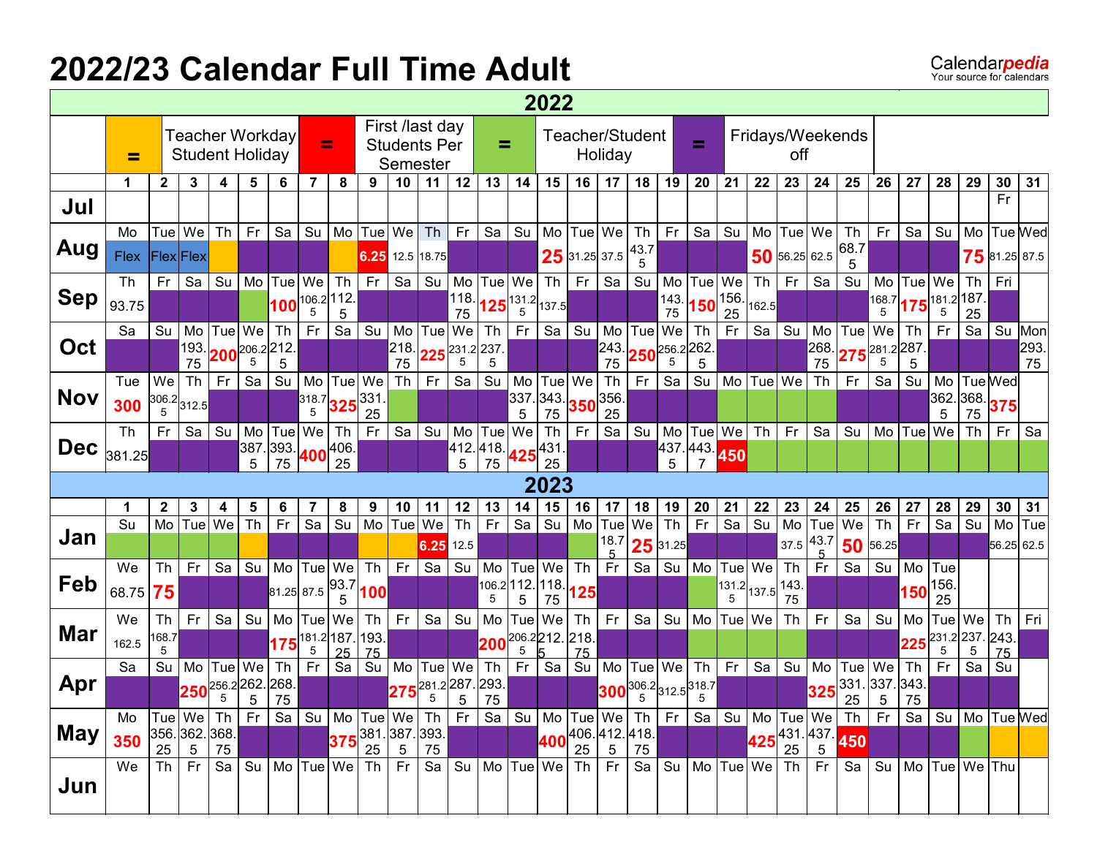## **2022/23 Calendar Full Time Adult**

|            |             |                    |                                 |           |                             |                          |                         |                   |                                 |                 |                                                    |                              |                                           |                       | 2022                         |                 |                 |                              |                              |                                                                                                 |                       |                       |                                |            |                  |            |                     |                       |                          |               |            |
|------------|-------------|--------------------|---------------------------------|-----------|-----------------------------|--------------------------|-------------------------|-------------------|---------------------------------|-----------------|----------------------------------------------------|------------------------------|-------------------------------------------|-----------------------|------------------------------|-----------------|-----------------|------------------------------|------------------------------|-------------------------------------------------------------------------------------------------|-----------------------|-----------------------|--------------------------------|------------|------------------|------------|---------------------|-----------------------|--------------------------|---------------|------------|
|            | =           |                    | <b>Student Holiday</b>          |           |                             | Teacher Workday          | $=$                     |                   |                                 |                 | First /last day<br><b>Students Per</b><br>Semester |                              | =                                         |                       |                              |                 | Holiday         | Teacher/Student              |                              | =                                                                                               |                       |                       | off                            |            | Fridays/Weekends |            |                     |                       |                          |               |            |
|            | 1.          | $\mathbf{2}$       | $\mathbf{3}$                    | 4         | 5                           | 6                        | 7                       | 8                 | 9                               | 10              | 11                                                 | 12                           | 13                                        | 14                    | 15                           | 16              | 17              | 18                           | 19                           | 20                                                                                              | 21                    | 22                    | 23                             | 24         | 25               | 26         | 27                  | 28                    | 29                       | 30            | 31         |
| Jul        |             |                    |                                 |           |                             |                          |                         |                   |                                 |                 |                                                    |                              |                                           |                       |                              |                 |                 |                              |                              |                                                                                                 |                       |                       |                                |            |                  |            |                     |                       |                          | Fr            |            |
|            | Mo          |                    | Tue   We                        | <b>Th</b> | Fr                          | Sa                       | Su                      | Mo                | Tue                             | We              | Th                                                 | Fr.                          | Sa                                        | Su                    | Mo                           | Tue   We        |                 | Th                           | Fr                           | $Sa$ Su                                                                                         |                       | Mo                    | Tue                            | We         | Th               | Fr         | Sa                  | Su                    |                          | Mo Tue Wed    |            |
| Aug        | <b>Flex</b> |                    | Flex Flex                       |           |                             |                          |                         |                   | 6.25 12.5 18.75                 |                 |                                                    |                              |                                           |                       |                              | $25$ 31.25 37.5 |                 | 43.7<br>5                    |                              |                                                                                                 |                       |                       | $50$ 56.25 62.5                |            | 68.7             |            |                     |                       |                          | 75 81.25 87.5 |            |
|            | Th          | Fr                 | Sa                              | Su        | Mo                          | Tue                      | We                      | <b>Th</b>         | Fr.                             | Sa              |                                                    | $Su$ Mo                      | Tue   We                                  |                       | Th                           | Fr.             | Sa              | Su                           | Mo                           | Tue We                                                                                          |                       | Th                    | Fr                             | Sa         | Su               | Mo         | Tue   We            |                       | <b>Th</b>                | Fri           |            |
| <b>Sep</b> | 93.75       |                    |                                 |           |                             |                          | $100^{106.2 112.}$<br>5 | 5                 |                                 |                 |                                                    | 118.<br>75                   | $125\begin{vmatrix}131.2\\5\end{vmatrix}$ |                       | 137.5                        |                 |                 |                              | 143<br>75                    | $ 150 ^{156}$                                                                                   | 25                    | 162.5                 |                                |            |                  | 168.7<br>5 | $175^{181.2 187.2}$ | 5                     | 25                       |               |            |
|            | Sa          | Su                 | Mo                              | Tue       | We                          | Th                       | Fr                      | Sa                | Su                              | Mo              | Tue We                                             |                              | Th                                        | Fr                    | Sa                           | Su              | Mo              | Tue                          | We                           | Th                                                                                              | Fr                    | Sa                    | Su                             | Mo         | Tue              | We         | Th                  | Fr                    | Sa                       | Su            | Mon        |
| Oct        |             |                    | 193.<br>75                      |           | 5                           | $200^{206.2 212.1}$<br>5 |                         |                   |                                 | 218.<br>75      | $225^{231.2 237.2}$                                | 5                            | 5                                         |                       |                              |                 | 243.<br>75      | $250^{256.2 262.}$           | 5                            | 5                                                                                               |                       |                       |                                | 268.<br>75 | $275^{281.2287}$ | 5          | 5                   |                       |                          |               | 293.<br>75 |
|            | Tue         | We                 | Th                              | Fr        | Sa                          | Su                       | Mo                      |                   | Tue We                          | <b>Th</b>       | Fr                                                 | Sa                           | Su                                        | Mo                    |                              | Tue   We        | Th              | Fr                           | Sa                           | Su                                                                                              | Mo                    | Tue                   | We                             | Th         | Fr.              | Sa         | Su                  |                       | Mo   Tue Wed             |               |            |
| <b>Nov</b> |             |                    | 306.2 312.5                     |           |                             |                          |                         |                   | $318.7$ 325 $331.$              |                 |                                                    |                              |                                           | 337.                  | 343.                         | $350^{356}$     |                 |                              |                              |                                                                                                 |                       |                       |                                |            |                  |            |                     | 362                   | $\frac{368}{75}$ 375     |               |            |
|            | 300         |                    |                                 |           |                             |                          | 5                       |                   | 25                              |                 |                                                    |                              |                                           | 5                     | 75                           |                 | 25              |                              |                              |                                                                                                 |                       |                       |                                |            |                  |            |                     | 5                     | 75                       |               |            |
|            | <b>Th</b>   | Fr                 | Sa                              | Su        | Mo                          | Tue                      | We                      | <b>Th</b>         | Fr                              | Sa              | Su                                                 | $\blacksquare$               | Tue                                       | We                    | Th                           | Fr              | Sa              | Su                           | Mo                           | Tue We                                                                                          |                       | Th                    | Fr                             | Sa         | Su               | Mo         | Tue                 | We                    | Th                       | Fr            | Sa         |
| <b>Dec</b> | 381.25      |                    |                                 |           | 387<br>5                    | 393.<br>75               |                         | $400^{406}$<br>25 |                                 |                 |                                                    | 5                            | $412.418.425^{431}.$<br>75                |                       | 25                           |                 |                 |                              | 5                            | 437.443.                                                                                        | 450                   |                       |                                |            |                  |            |                     |                       |                          |               |            |
|            |             |                    |                                 |           |                             |                          |                         |                   |                                 |                 |                                                    |                              |                                           |                       | 2023                         |                 |                 |                              |                              |                                                                                                 |                       |                       |                                |            |                  |            |                     |                       |                          |               |            |
|            |             |                    |                                 |           |                             |                          |                         |                   |                                 |                 |                                                    |                              |                                           |                       |                              |                 |                 |                              |                              |                                                                                                 |                       |                       |                                |            |                  |            |                     |                       |                          |               |            |
|            | 1<br>Su     | $\mathbf{2}$<br>Mo | 3<br>$ \textsf{Tue} $           | 4<br>We   | 5<br>$\overline{\text{Th}}$ | 6<br>F <sub>r</sub>      | $\overline{Sa}$         | 8<br>Su           | 9<br>Mo                         | 10<br>Tue       | 11<br>We                                           | 12<br>$\overline{\text{Th}}$ | 13<br>Fr                                  | 14<br>$\overline{Sa}$ | 15<br>$\overline{\text{Su}}$ | 16<br>Mo        | 17<br>Tue       | 18<br>We                     | 19<br>$\overline{\text{Th}}$ | 20<br>Fr                                                                                        | 21<br>$\overline{sa}$ | 22<br>$\overline{su}$ | 23<br>$\overline{\mathsf{Mo}}$ | 24<br>Tue  | 25<br>$w_{e}$    | 26<br>Th   | 27<br>Fr            | 28<br>$\overline{Sa}$ | 29<br>$\overline{Su}$    | 30<br>Mo      | 31<br>Tue  |
| Jan        |             |                    |                                 |           |                             |                          |                         |                   |                                 |                 | 6.25 12.5                                          |                              |                                           |                       |                              |                 | 18.7            |                              | $25$ 31.25                   |                                                                                                 |                       |                       | 37.5                           | 43.7       | 50               | 56.25      |                     |                       |                          | 56.25         | 62.5       |
|            | We          | Th                 | Fr.                             | Sa        | Su                          | Mo                       |                         | Tue We            |                                 | $Th$ Fr         | Sa                                                 | Su                           | Mo                                        | Tue                   | We                           | Th              | Fr              | Sa                           | Su                           | M <sub>o</sub>                                                                                  |                       | Tue   We              | Th                             | <b>Fr</b>  | Sa               | Su         | Mo                  | Tue                   |                          |               |            |
| Feb        |             |                    |                                 |           |                             |                          |                         | 93.7              |                                 |                 |                                                    |                              | 106.2                                     | 112.                  | 118.                         |                 |                 |                              |                              |                                                                                                 |                       | 131.2 137.5           |                                |            |                  |            |                     | 156.                  |                          |               |            |
|            | 68.75       | 75                 |                                 |           |                             | 81.25 87.5               |                         | 5                 | 100                             |                 |                                                    |                              | 5                                         | 5                     | 75                           | 125             |                 |                              |                              |                                                                                                 | 5                     |                       | 143.<br>75                     |            |                  |            | 150                 | 25                    |                          |               |            |
|            | We          | Th                 | <b>Fr</b>                       | Sa        | Su                          | Mo                       | Tue We                  |                   | Th                              | Fr              | Sa                                                 | Su                           | Mo                                        | Tue                   | We                           | Th              | Fr              | Sa                           | Su                           | Mo Tue We                                                                                       |                       |                       | Th                             | Fr         | Sa               | Su         | Mo                  | Tue We                |                          | Th            | Fri        |
| Mar        | 162.5       | 168.7<br>5         |                                 |           |                             |                          | 5                       |                   | $175 ^{181.2} ^{187.} ^{193.1}$ |                 |                                                    |                              | 200                                       | 5                     | 206.2212.218.                |                 |                 |                              |                              |                                                                                                 |                       |                       |                                |            |                  |            | 225                 | 5                     | 231.2 237. 243.<br>5     |               |            |
|            | Sa          | Su                 | Mo                              | Tue       | We                          | Th                       | Fr                      | 25<br>Sa          | 75<br>Su                        | Mo              | Tue We                                             |                              | Th                                        | Fr                    | Sa                           | 75<br>Su        | Mo              |                              | Tue We                       | Th <sub>1</sub>                                                                                 | Fr.                   | Sa                    | Su                             | Mo         | Tue              | We         | Th                  | Fr                    | Sa                       | 75<br>Su      |            |
| Apr        |             |                    | 250                             | 256.2262. |                             | 268                      |                         |                   |                                 | 275             | 281.2287.                                          |                              | 293.                                      |                       |                              |                 | 300             |                              |                              | $\begin{bmatrix} 306.2 \\ 5 \end{bmatrix}$ 312.5 $\begin{bmatrix} 318.7 \\ 5 \end{bmatrix}$     |                       |                       |                                | 325        | 331.             | 337.       | 343                 |                       |                          |               |            |
|            |             |                    |                                 | 5         | 5                           | 75                       |                         |                   |                                 |                 | 5                                                  | 5                            | 75                                        |                       |                              |                 |                 |                              |                              | 5                                                                                               |                       |                       |                                |            | 25               | 5          | 75                  |                       |                          |               |            |
|            | Mo          |                    |                                 |           |                             |                          |                         |                   |                                 |                 |                                                    |                              |                                           |                       |                              |                 |                 |                              |                              | Tue We Th Fr Sa Su Mo Tue We Th Fr Sa Su Mo Tue We Th Fr Sa Su Mo Tue We Th Fr Sa Su Mo Tue Wed |                       |                       |                                |            |                  |            |                     |                       |                          |               |            |
| <b>May</b> | 350         | 25                 | 356.362.368.<br>$5\overline{)}$ | 75        |                             |                          |                         |                   | $375^{381.387.393.}$<br>25      | $5\phantom{.0}$ | 75                                                 |                              |                                           |                       |                              | 25              | $5\phantom{.0}$ | $1400^{406.412.418.1}$<br>75 |                              |                                                                                                 |                       |                       |                                |            | 425 431 437 450  |            |                     |                       |                          |               |            |
|            | We          |                    | $Th$ $Fr$                       | Sa        |                             | Su   Mo  Tue  We   Th    |                         |                   |                                 | Fr              |                                                    |                              | Sa   Su   Mo   Tue   We   Th   Fr         |                       |                              |                 |                 | Sa Su                        |                              | Mo   Tue   We   Th                                                                              |                       |                       |                                | Fr I       | -Sa I            |            |                     |                       | Su   Mo   Tue   We   Thu |               |            |
| Jun        |             |                    |                                 |           |                             |                          |                         |                   |                                 |                 |                                                    |                              |                                           |                       |                              |                 |                 |                              |                              |                                                                                                 |                       |                       |                                |            |                  |            |                     |                       |                          |               |            |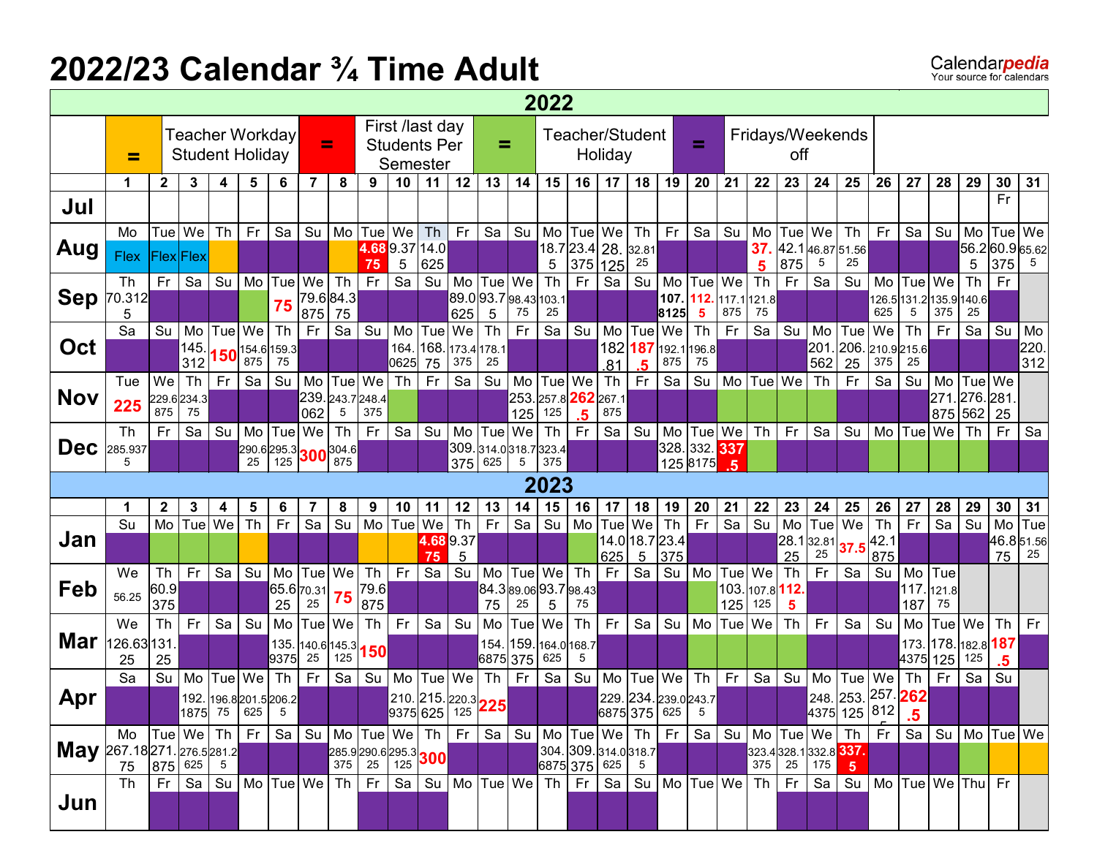### **2022/23 Calendar ¾ Time Adult**

|                          | 2022<br>First /last day<br>Teacher Workday<br>Teacher/Student<br>Fridays/Weekends<br>Ξ<br>Ξ<br><b>Students Per</b><br>=<br>Holiday<br><b>Student Holiday</b><br>off<br>≕<br>Semester |                    |                  |           |                                                                     |         |                                                                        |                       |             |                 |                                            |          |                          |                          |                  |                      |                 |                                         |           |                         |                  |                   |           |           |                              |               |          |                           |                      |           |            |
|--------------------------|--------------------------------------------------------------------------------------------------------------------------------------------------------------------------------------|--------------------|------------------|-----------|---------------------------------------------------------------------|---------|------------------------------------------------------------------------|-----------------------|-------------|-----------------|--------------------------------------------|----------|--------------------------|--------------------------|------------------|----------------------|-----------------|-----------------------------------------|-----------|-------------------------|------------------|-------------------|-----------|-----------|------------------------------|---------------|----------|---------------------------|----------------------|-----------|------------|
|                          |                                                                                                                                                                                      |                    |                  |           |                                                                     |         |                                                                        |                       |             |                 |                                            |          |                          |                          |                  |                      |                 |                                         |           |                         |                  |                   |           |           |                              |               |          |                           |                      |           |            |
|                          |                                                                                                                                                                                      |                    |                  |           |                                                                     |         |                                                                        |                       |             |                 |                                            |          |                          |                          |                  |                      |                 |                                         |           |                         |                  |                   |           |           |                              |               |          |                           |                      |           |            |
|                          | 1                                                                                                                                                                                    | $\mathbf{2}$       | 3                | 4         | 5                                                                   | 6       | 7                                                                      | 8                     | 9           | 10              | 11                                         | 12       | 13                       | 14                       | 15               | 16                   | 17 <sub>2</sub> | 18                                      | 19        | 20                      | 21               | 22                | 23        | 24        | 25                           | 26            | 27       | 28                        | 29                   | 30        | 31         |
| Jul                      |                                                                                                                                                                                      |                    |                  |           |                                                                     |         |                                                                        |                       |             |                 |                                            |          |                          |                          |                  |                      |                 |                                         |           |                         |                  |                   |           |           |                              |               |          |                           |                      | Fr        |            |
|                          | Mo                                                                                                                                                                                   | Tue We             |                  | <b>Th</b> | Fr                                                                  | Sa      | Su                                                                     |                       | Mo Tue      | We              | Th                                         | Fr.      | Sa                       | Su                       | Mo               | Tue   We             |                 | Th                                      | <b>Fr</b> | Sa                      | Su               | Mo                | Tue       | We        | Th                           | Fr            | Sa       | Su                        | Mo                   | Tue   We  |            |
| Aug                      | Flex                                                                                                                                                                                 | <b>Flex</b> Flex   |                  |           |                                                                     |         |                                                                        |                       | 75          | 5               | 4.689.3714.0<br>625                        |          |                          |                          | 5                | 18.7 23.4 28.<br>375 | 125             | 32.81<br>25                             |           |                         |                  | 37.<br>5          | 875       | 5         | 42.146.8751.56<br>25         |               |          |                           | 56.260.965.62<br>5   | 375       | 5          |
|                          | Th                                                                                                                                                                                   | Fr                 | Sa               | Su        | Mo                                                                  | Tue     | We                                                                     | <b>Th</b>             | Fr          | $\overline{Sa}$ | Su                                         | Mo l     | Tue   We                 |                          | Th               | <b>Fr</b>            | $\overline{S}a$ | Su                                      | Mo        | Tue                     | We               | Th                | Fr        | Sa        | Su                           | Mo            | Tue      | We                        | Th                   | Fr        |            |
| <b>Sep</b>               | 70.312                                                                                                                                                                               |                    |                  |           |                                                                     | 75      |                                                                        | 79.684.3              |             |                 |                                            |          |                          | 89.093.798.43103.1       |                  |                      |                 |                                         | 107.      | 112.                    | 117.1 121.8      |                   |           |           |                              |               |          | 126.5 131.2 135.9 140.6   |                      |           |            |
|                          | 5                                                                                                                                                                                    |                    |                  |           |                                                                     |         | 875                                                                    | 75                    |             |                 |                                            | 625      | 5                        | 75                       | 25               |                      |                 |                                         | 8125      | 5                       | 875              | 75                |           |           |                              | 625           | 5        | 375                       | 25                   |           |            |
| Oct                      | Sa                                                                                                                                                                                   | Su                 | Mo<br>145.       | Tuel      | We                                                                  | Th      | Fr                                                                     | Sa                    | Su          | Mo<br>164.      | Tue<br>168                                 | We       | <b>Th</b><br>173.4 178.1 | Fr                       | Sa               | Su                   | Mo              | Tue<br>182 187                          | We        | Th<br>192.1196.8        | Fr               | Sa                | Su        | Mo<br>201 | Tue<br>206. 210.9 215.6      | We            | Th       | Fr                        | Sa                   | Su        | Mo<br>220. |
|                          |                                                                                                                                                                                      |                    | 312              |           | $\left. \mathbf{150}^{\vert 154.6 \vert 159.3 \vert}_{875} \right $ |         |                                                                        |                       |             | 0625            | 75                                         | 375      | 25                       |                          |                  |                      | .81             | .5                                      | 875       | 75                      |                  |                   |           | 562       | 25                           | 375           | 25       |                           |                      |           | 312        |
|                          | Tue                                                                                                                                                                                  | We                 | T <sub>h</sub>   | Fr.       | Sa                                                                  | Su      |                                                                        | Mo Tue We             |             | Th              | Fr                                         | Sa       | Su                       | Mo                       | Tue              | We                   | <b>Th</b>       | Fr.                                     | Sa        | Su                      | M <sub>o</sub>   | Tue               | We        | Th        | Fr                           | Sa            | Su       | Mo                        | Tue We               |           |            |
| <b>Nov</b>               | 225                                                                                                                                                                                  | 875                | 229.6234.3<br>75 |           |                                                                     |         | 062                                                                    | 239. 243.7 248.4<br>5 | 375         |                 |                                            |          |                          | 253.<br>125              | 257.8 262<br>125 |                      | 267.1<br>875    |                                         |           |                         |                  |                   |           |           |                              |               |          | 271<br>875                | 276.281<br>562       | 25        |            |
|                          | Th                                                                                                                                                                                   | Fr                 | Sa               | Su        | Mo                                                                  | Tue     | We                                                                     | Th                    | Fr.         | Sa              | Su                                         | Mo       | Tue                      | We                       | <b>Th</b>        | .5<br>Fr             | Sa              | Su                                      | Mo        | Tue   We                |                  | <b>Th</b>         | Fr        | Sa        | Su                           | Mo            | Tue      | We                        | Th                   | Fr        | Sa         |
| <b>Dec</b>               | 285.937                                                                                                                                                                              |                    |                  |           | $290.6$ 295.3 300 304.6                                             |         |                                                                        |                       |             |                 |                                            |          |                          | 309.314.0318.7323.4      |                  |                      |                 |                                         |           | 328.332. <sup>337</sup> |                  |                   |           |           |                              |               |          |                           |                      |           |            |
|                          | 5                                                                                                                                                                                    |                    |                  |           | 25                                                                  | 125     |                                                                        | 875                   |             |                 |                                            | 375      | 625                      | 5                        | 375              |                      |                 |                                         |           | 125 8175                | -5               |                   |           |           |                              |               |          |                           |                      |           |            |
|                          |                                                                                                                                                                                      |                    |                  |           |                                                                     |         |                                                                        |                       |             |                 |                                            |          |                          |                          | 2023             |                      |                 |                                         |           |                         |                  |                   |           |           |                              |               |          |                           |                      |           |            |
|                          | 1<br>Su                                                                                                                                                                              | $\mathbf{2}$<br>Mo | 3<br>Tue We      | 4         | 5<br>Th                                                             | 6<br>Fr | 7<br>Sa                                                                | 8<br>Su               | 9<br>Mo     | 10<br>Tue       | 11<br>We                                   | 12<br>Th | 13<br>Fr.                | 14<br>Sa                 | 15<br>Su         | 16<br>Mo             | 17              | 18<br>We                                | 19<br>Th  | 20<br>Fr                | 21<br>Sa         | 22<br>Su          | 23<br>Mo  | 24<br>Tue | 25<br>We                     | 26<br>Th      | 27<br>Fr | 28<br>Sa                  | 29<br>Su             | 30<br>Mo  | 31<br>Tue  |
| Jan                      |                                                                                                                                                                                      |                    |                  |           |                                                                     |         |                                                                        |                       |             |                 | 4.689.37                                   |          |                          |                          |                  |                      | Tuel            | 14.0 18.7 23.4                          |           |                         |                  |                   | 28.1      | 32.81     |                              | $\sqrt{42.1}$ |          |                           |                      | 46.851.56 |            |
|                          |                                                                                                                                                                                      |                    |                  |           |                                                                     |         |                                                                        |                       |             |                 | 75                                         | 5        |                          |                          |                  |                      | 625             | $\sqrt{5}$                              | 375       |                         |                  |                   | 25        | 25        | 37                           | 875           |          |                           |                      | 75        | 25         |
| Feb                      | We                                                                                                                                                                                   | Th                 | Fr               | Sa        | Su                                                                  | Mo      |                                                                        | Tue We                | Th          | Fr              | Sa                                         | Su       | Mo                       |                          | Tue We           | Th                   | Fr              | Sa                                      |           | Su Mo                   | Tue   We         |                   | <b>Th</b> | Fr        | Sa                           | Su            | Mo       | Tue                       |                      |           |            |
|                          | 56.25                                                                                                                                                                                | 60.9<br>375        |                  |           |                                                                     | 25      | 65.6 70.31<br>25                                                       | 75                    | 79.6<br>875 |                 |                                            |          | 75                       | 84.389.0693.798.43<br>25 | 5                | 75                   |                 |                                         |           |                         | 125              | 103. 107.8<br>125 | 112.<br>5 |           |                              |               | 187      | 117. 121.8<br>75          |                      |           |            |
|                          | We                                                                                                                                                                                   | Th                 | <b>Fr</b>        | Sa        | Su                                                                  | Mo      |                                                                        | Tue We                | Th          | Fr              | Sa                                         | Su       | Mo                       | Tue                      | We               | Th                   | Fr.             | Sa                                      | Su        | Mo                      | Tue <sup>l</sup> | We                | <b>Th</b> | Fr        | Sa                           | Su            | Mo       | Tue We                    |                      | <b>Th</b> | Fr         |
| Mar                      | 126.63131                                                                                                                                                                            |                    |                  |           |                                                                     | 135.    | $ 140.6 145.3 $ 150                                                    |                       |             |                 |                                            |          | 154.                     |                          | 159. 164.0 168.7 |                      |                 |                                         |           |                         |                  |                   |           |           |                              |               | 173.     | 178.                      | 182.8 187            |           |            |
|                          | 25                                                                                                                                                                                   | 25                 |                  |           |                                                                     | 9375    | 25                                                                     | 125                   |             |                 |                                            |          | 6875 375                 |                          | 625              | 5                    |                 |                                         |           |                         |                  |                   |           |           |                              |               | 4375 125 |                           | 125                  | .5        |            |
|                          | Sa                                                                                                                                                                                   | Su                 | Mo               | Tue       | We                                                                  | Th      | Fr                                                                     | Sa                    | Su          | Mo              | Tue   We                                   |          | <b>Th</b>                | Fr                       | Sa               | Su                   | Mo              | Tue                                     | We        | Th                      | Fr               | Sa                | Su        | Mo        | Tue<br>248. 253. 257. 262    | We            | Th       | Fr                        | Sa                   | Su        |            |
| Apr                      |                                                                                                                                                                                      |                    |                  |           | 192. 196.8 201.5 206.2<br>1875 75 625                               | 5       |                                                                        |                       |             |                 | 210. 215. 220.3<br>9375 625 125 <b>225</b> |          |                          |                          |                  |                      |                 | 229. 234. 239.0 243.7<br>6875 375 625   |           | 5                       |                  |                   |           |           | 4375 125 812                 |               | .5       |                           |                      |           |            |
|                          | Mo Tue We Th                                                                                                                                                                         |                    |                  |           |                                                                     |         | Fr Sa Su   Mo   Tue   We   Th   Fr   Sa   Su   Mo   Tue   We   Th   Fr |                       |             |                 |                                            |          |                          |                          |                  |                      |                 |                                         |           |                         |                  |                   |           |           | Sa   Su   Mo   Tue   We   Th |               |          |                           | $Fr$ Sa Su Mo Tue We |           |            |
| May 267.18271.276.5281.2 |                                                                                                                                                                                      |                    |                  |           |                                                                     |         |                                                                        | 285.9 290.6 295.3 300 |             |                 |                                            |          |                          |                          |                  |                      |                 | 304. 309. 314.0 318.7<br>6875 375 625 5 |           |                         |                  |                   |           |           | 323.4 328.1 332.8 337.       |               |          |                           |                      |           |            |
|                          |                                                                                                                                                                                      |                    |                  |           |                                                                     |         |                                                                        |                       |             |                 |                                            |          |                          |                          |                  |                      |                 |                                         |           |                         |                  |                   |           | Sa        |                              |               |          | Su   Mo  Tue We  Thu   Fr |                      |           |            |
|                          |                                                                                                                                                                                      |                    |                  |           |                                                                     |         |                                                                        |                       |             |                 |                                            |          |                          |                          |                  |                      |                 |                                         |           |                         |                  |                   |           |           |                              |               |          |                           |                      |           |            |
| Jun                      | <b>Th</b>                                                                                                                                                                            |                    |                  |           | Fr   Sa   Su   Mo   Tue   We   Th   Fr                              |         |                                                                        |                       |             |                 | Sa   Su   Mo   Tue   We   Th   Fr          |          |                          |                          |                  |                      |                 | Sa   Su   Mo   Tue   We   Th            |           |                         |                  |                   | Fr        |           |                              |               |          |                           |                      |           |            |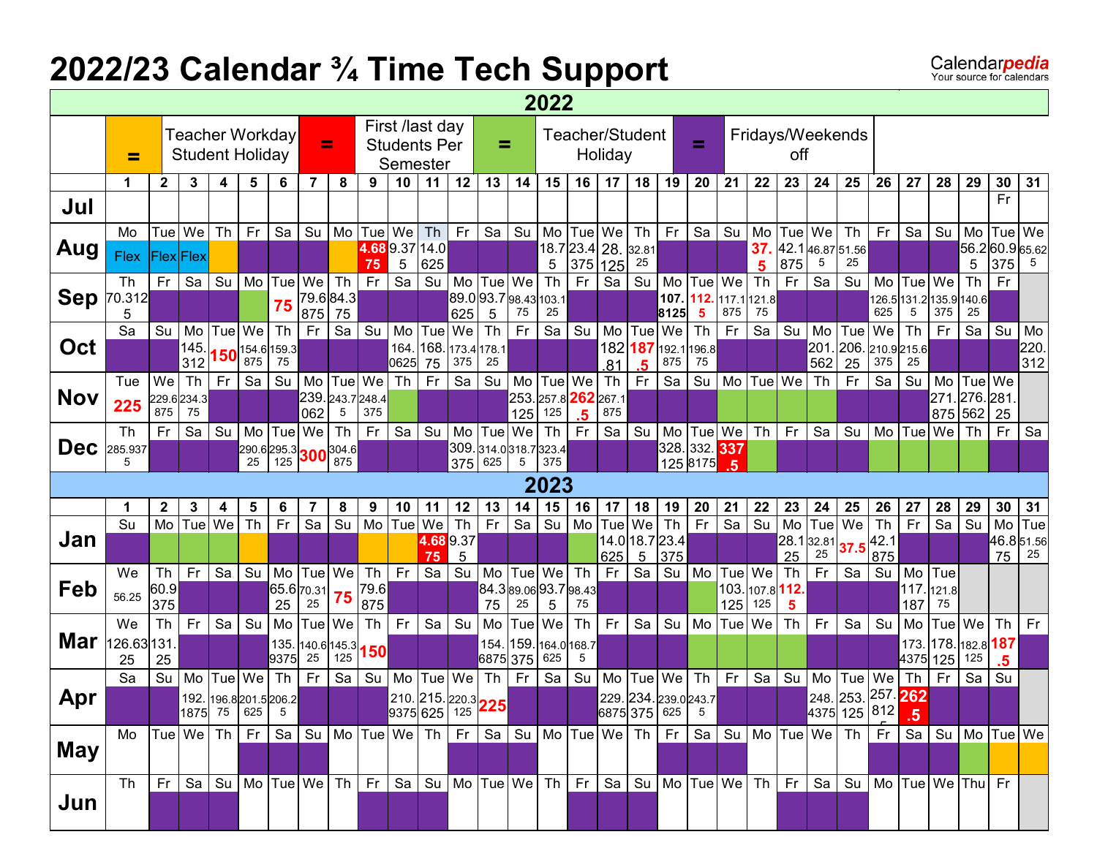## **2022/23 Calendar ¾ Time Tech Support**

Calendar**pedia** 

|            | 2022<br>First /last day<br>Teacher Workday<br>Teacher/Student<br>Ξ<br><b>Students Per</b><br>=<br><b>Student Holiday</b><br>Holiday<br>=<br>Semester |                    |             |           |                                  |           |              |                      |            |                                     |          |             |                             |           |                  |                    |                  |                  |                       |             |                    |            |             |                                             |                                                                                                                                  |           |                              |           |                      |                      |           |
|------------|------------------------------------------------------------------------------------------------------------------------------------------------------|--------------------|-------------|-----------|----------------------------------|-----------|--------------|----------------------|------------|-------------------------------------|----------|-------------|-----------------------------|-----------|------------------|--------------------|------------------|------------------|-----------------------|-------------|--------------------|------------|-------------|---------------------------------------------|----------------------------------------------------------------------------------------------------------------------------------|-----------|------------------------------|-----------|----------------------|----------------------|-----------|
|            |                                                                                                                                                      |                    |             |           |                                  |           |              |                      |            |                                     |          |             |                             |           |                  |                    |                  |                  |                       | =           |                    |            | off         |                                             | Fridays/Weekends                                                                                                                 |           |                              |           |                      |                      |           |
|            | 1                                                                                                                                                    | $\mathbf{2}$       | 3           | 4         | 5                                | 6         | 7            | 8                    | 9          | 10                                  | 11       | 12          | 13                          | 14        | 15               | 16                 | 17               | 18               | 19                    | 20          | 21                 | 22         | 23          | 24                                          | 25                                                                                                                               | 26        | 27                           | 28        | 29                   | 30                   | 31        |
| Jul        |                                                                                                                                                      |                    |             |           |                                  |           |              |                      |            |                                     |          |             |                             |           |                  |                    |                  |                  |                       |             |                    |            |             |                                             |                                                                                                                                  |           |                              |           |                      | Fr                   |           |
|            | Mo                                                                                                                                                   | Tue                | We          | <b>Th</b> | Fr                               | Sa        | Su           | Mo                   | <b>Tue</b> | We                                  | Th       | Fr          | Sa                          | Su        | Mo               | Tue   We           |                  | Th               | Fr.                   | Sa          | Su                 | Mo         | Tue         | We                                          | Th                                                                                                                               | Fr.       | Sa                           | Su        | Mo                   | <b>Tue</b>           | We        |
| Aug        | <b>Flex</b>                                                                                                                                          | <b>Flex</b> Flex   |             |           |                                  |           |              |                      | 75         | 4.689.3714.0<br>5                   | 625      |             |                             |           | 18.7<br>5        | $23.4$ 28.<br>375  |                  | 32.81<br>25      |                       |             |                    | 37.        | 42.1<br>875 | 5                                           | 46.87 51.56<br>25                                                                                                                |           |                              |           | 56.2 60.9 65.62<br>5 | 375                  | 5         |
|            | Th                                                                                                                                                   | Fr                 | Sa          | Su        | Mo                               | Tue       | We           | Th                   | Fr.        | Sa                                  | Su       | Mo          | Tue                         | We        | Th               | Fr                 | 125<br>Sa        | Su               | Mo                    | Tue         | We                 | 5<br>Th    | Fr          | Sa                                          | Su                                                                                                                               | Mo        | Tue                          | We        | Th                   | Fr                   |           |
| <b>Sep</b> | 70.312                                                                                                                                               |                    |             |           |                                  | 75        |              | 79.684.3             |            |                                     |          |             | 89.093.798.43               | 75        | 103.1<br>25      |                    |                  |                  | 107.                  | 112.        | 117.1 121.8<br>875 | 75         |             |                                             |                                                                                                                                  | 625       | 126.5 131.2 135.9 140.6<br>5 | 375       | 25                   |                      |           |
|            | 5<br>Sa                                                                                                                                              | Su                 | Mo          | Tue       | We                               | <b>Th</b> | 875<br>Fr    | 75<br>Sa             | Su         | Mo                                  | Tue      | 625<br>We   | 5<br>$\overline{\text{Th}}$ | Fr        | Sa               | Su                 | Mo               | Tue              | 8125<br>We            | -5<br>Th    | Fr                 | Sa         | Su          | Mo                                          | Tue                                                                                                                              | We        | Th                           | Fr        | Sa                   | Su                   | Mo        |
| Oct        |                                                                                                                                                      |                    | 145         |           | $150^{154.6 159.3 }$             |           |              |                      |            | 164.                                | 168.     | 173.4 178.1 |                             |           |                  |                    | 182 187          |                  |                       | 192.1196.8  |                    |            |             | 201                                         |                                                                                                                                  |           | 206. 210.9 215.6             |           |                      |                      | 220.      |
|            | Tue                                                                                                                                                  | We                 | 312<br>Th   | Fr        | 875<br>Sa                        | 75<br>Su  | Mo           | Tue We               |            | 0625<br>Th                          | 75<br>Fr | 375<br>Sa   | 25<br>Su                    | Mo        | Tue              | We                 | .81<br><b>Th</b> | Fr               | 875<br>Sa             | 75<br>Su    | M <sub>o</sub>     | Tue        | We          | 562<br>Th                                   | 25<br>Fr                                                                                                                         | 375<br>Sa | 25<br>Su                     | Mo        | Tue   We             |                      | 312       |
| <b>Nov</b> | 225                                                                                                                                                  |                    | 229.6234.3  |           |                                  |           | 239.         | 243.7248.4           |            |                                     |          |             |                             | 253.      | 257.8 262        |                    | 267.1            |                  |                       |             |                    |            |             |                                             |                                                                                                                                  |           |                              | 271       | 276.281              |                      |           |
|            | Th                                                                                                                                                   | 875<br>Fr          | 75<br>Sa    | Su        | Mo                               | Tue       | 062<br>We    | 5<br><b>Th</b>       | 375<br>Fr. | Sa                                  | Su       | Mo          | Tue                         | 125<br>We | 125<br><b>Th</b> | Fr                 | 875<br>Sa        | Su               | Mo                    | Tue         | We                 | Th         | Fr          | Sa                                          | Su                                                                                                                               | Mo        | Tuel                         | 875<br>We | 562 25<br>Th         | Fr                   | Sa        |
| <b>Dec</b> | 285.937                                                                                                                                              |                    |             |           |                                  |           |              | 290.6295.3 300 304.6 |            |                                     |          |             | 309.314.0318.7323.4         |           |                  |                    |                  |                  |                       | 328.332.337 |                    |            |             |                                             |                                                                                                                                  |           |                              |           |                      |                      |           |
|            |                                                                                                                                                      |                    |             |           | 25                               | 125       |              | 875                  |            |                                     |          | 375 625     |                             | 5         | 375              |                    |                  |                  |                       | 125 8175    | 5                  |            |             |                                             |                                                                                                                                  |           |                              |           |                      |                      |           |
|            |                                                                                                                                                      |                    |             |           |                                  |           |              |                      |            |                                     |          |             |                             |           | 2023             |                    |                  |                  |                       |             |                    |            |             |                                             |                                                                                                                                  |           |                              |           |                      |                      |           |
|            | Su                                                                                                                                                   | $\mathbf{2}$<br>Mo | 3<br>Tue We | 4         | 5<br>Th                          | 6<br>Fr   | 7<br>Sa      | 8<br>Su              | 9<br>Mo    | 10<br>Tue                           | 11<br>We | 12<br>Th    | 13<br>Fr                    | 14<br>Sa  | 15<br>Su         | 16<br>Mo           | 17<br>Tue        | 18<br>We         | 19<br><b>Th</b>       | 20<br>Fr    | 21<br>Sa           | 22<br>Su   | 23<br>Mo    | 24<br>Tue                                   | 25<br>We                                                                                                                         | 26<br>Th  | 27<br>Fr                     | 28<br>Sa  | 29<br>Su             | 30<br>M <sub>o</sub> | 31<br>Tue |
| Jan        |                                                                                                                                                      |                    |             |           |                                  |           |              |                      |            |                                     | 4.689.37 |             |                             |           |                  |                    |                  | 14.0 18.7 23.4   |                       |             |                    |            | 28.1        | $\begin{array}{ c} 32.81 \\ 25 \end{array}$ | 37.5 42.1                                                                                                                        |           |                              |           |                      | 46.851.56            |           |
|            | We                                                                                                                                                   | Th                 | Fr          | Sa        | Su                               | Mo        |              | Tue We               | Th         | <b>Fr</b>                           | 75<br>Sa | 5<br>Su     | Mo                          |           | Tue We           | Th                 | 625<br>Fr.       | $\sqrt{5}$<br>Sa | 375<br>Su             | Mo          | Tue   We           |            | 25<br>Th    | Fr                                          | Sa                                                                                                                               | 875<br>Su | Mo                           | Tue       |                      | 75                   | 25        |
| Feb        | 56.25                                                                                                                                                | 60.9               |             |           |                                  |           | 65.6 70.31   | 75                   | 79.6       |                                     |          |             |                             |           |                  | 84.389.0693.798.43 |                  |                  |                       |             |                    | 103. 107.8 | 112.        |                                             |                                                                                                                                  |           | 117.                         | 121.8     |                      |                      |           |
|            | We                                                                                                                                                   | 375<br>Th          | Fr          | Sa        | Su                               | 25<br>Mo  | 25<br>Tue We |                      | 875<br>Th  | Fr                                  | Sa       | Su          | 75<br>Mo                    | 25<br>Tue | 5<br>We          | 75                 | Fr.              | Sa               | Su                    | Mo          | 125<br><b>Tue</b>  | 125<br>We  | 5<br>Th     | Fr                                          | Sa                                                                                                                               | Su        | 187<br>Mo                    | 75        | Tue   We             | Th                   | Fr        |
| Mar        | 126.63131                                                                                                                                            |                    |             |           |                                  | 135.      |              | 140.6 145.3          |            |                                     |          |             | 154.                        | 159.      |                  | Th<br>164.0 168.7  |                  |                  |                       |             |                    |            |             |                                             |                                                                                                                                  |           | 173.                         | 178.      | 182.8 187            |                      |           |
|            | 25                                                                                                                                                   | 25                 |             |           |                                  | 9375      | 25           | 125                  | 150        |                                     |          |             | 6875 375                    |           | 625              | 5                  |                  |                  |                       |             |                    |            |             |                                             |                                                                                                                                  |           | 4375 125                     |           | 125                  | .5                   |           |
|            | Sa                                                                                                                                                   | Su                 | Mo          | Tue   We  |                                  | Th        | Fr           | Sa                   | Su         | Mo                                  | Tuel     | We          | Th                          | Fr        | Sa               | Su                 | Mo               | Tue              | We                    | Th          | Fr                 | Sa         | Su          | Mo                                          | Tue<br>248. 253. <sup>257.</sup> 262                                                                                             | We        | Th                           | Fr        | Sa                   | Su                   |           |
|            |                                                                                                                                                      |                    |             |           |                                  |           |              |                      |            |                                     |          |             |                             |           |                  |                    |                  |                  | 229. 234. 239.0 243.7 |             |                    |            |             |                                             |                                                                                                                                  |           |                              |           |                      |                      |           |
| Apr        |                                                                                                                                                      |                    | 1875        |           | 192. 196.8 201.5 206.2<br>75 625 | 5         |              |                      |            |                                     |          |             |                             |           |                  |                    |                  |                  |                       | 5           |                    |            |             |                                             |                                                                                                                                  |           |                              |           |                      |                      |           |
|            | Mo  Tue We Th Fr Sa Su Mo Tue We Th Fr Sa Su Mo Tue We Th Fr Sa Su Mo Tue We Th Fr Sa Su Mo Tue We                                                   |                    |             |           |                                  |           |              |                      |            | 210. 215. 220.3<br>9375 625 125 225 |          |             |                             |           |                  |                    |                  | 6875 375 625     |                       |             |                    |            |             |                                             | 4375 125   812 <mark> </mark>                                                                                                    |           | .5                           |           |                      |                      |           |
| <b>May</b> |                                                                                                                                                      |                    |             |           |                                  |           |              |                      |            |                                     |          |             |                             |           |                  |                    |                  |                  |                       |             |                    |            |             |                                             |                                                                                                                                  |           |                              |           |                      |                      |           |
|            | Th                                                                                                                                                   | l Fr l             |             |           |                                  |           |              |                      |            |                                     |          |             |                             |           |                  |                    |                  |                  |                       |             |                    |            |             |                                             | Sa   Su   Mo  Tue We   Th   Fr   Sa   Su   Mo  Tue We   Th   Fr   Sa   Su   Mo  Tue We   Th   Fr   Sa   Su   Mo  Tue We  Thu  Fr |           |                              |           |                      |                      |           |
| Jun        |                                                                                                                                                      |                    |             |           |                                  |           |              |                      |            |                                     |          |             |                             |           |                  |                    |                  |                  |                       |             |                    |            |             |                                             |                                                                                                                                  |           |                              |           |                      |                      |           |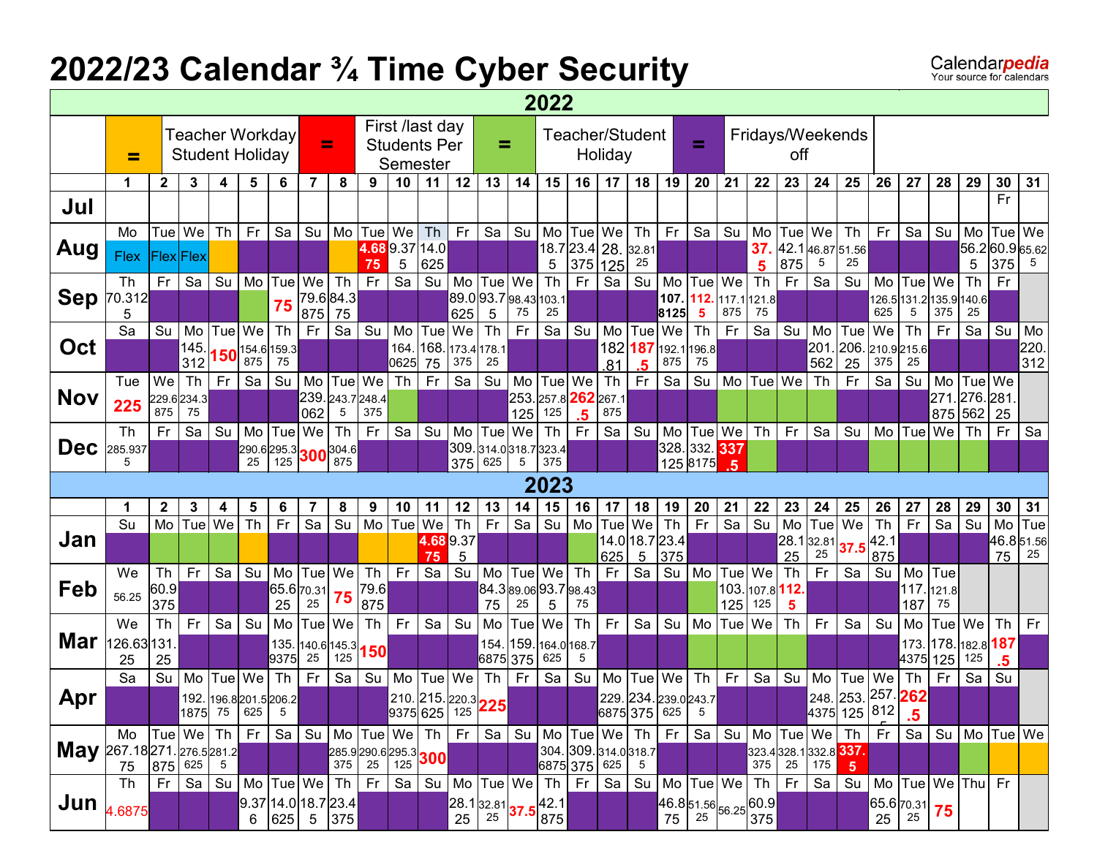# **2022/23 Calendar ¾ Time Cyber Security**

|                                    | 2022<br>First /last day<br>Teacher Workday<br>Teacher/Student<br>Fridays/Weekends<br>Ξ<br>Ξ<br><b>Students Per</b><br>=<br>Holiday<br><b>Student Holiday</b><br>off<br>≕<br>Semester |                  |                  |           |                                                                     |      |                                                     |           |                         |                      |                                            |      |                          |                                                                           |                  |                      |                        |                                                                                                     |           |                                                          |                  |                   |                         |             |                                                          |                      |                                                                                  |            |                               |                 |            |
|------------------------------------|--------------------------------------------------------------------------------------------------------------------------------------------------------------------------------------|------------------|------------------|-----------|---------------------------------------------------------------------|------|-----------------------------------------------------|-----------|-------------------------|----------------------|--------------------------------------------|------|--------------------------|---------------------------------------------------------------------------|------------------|----------------------|------------------------|-----------------------------------------------------------------------------------------------------|-----------|----------------------------------------------------------|------------------|-------------------|-------------------------|-------------|----------------------------------------------------------|----------------------|----------------------------------------------------------------------------------|------------|-------------------------------|-----------------|------------|
|                                    |                                                                                                                                                                                      |                  |                  |           |                                                                     |      |                                                     |           |                         |                      |                                            |      |                          |                                                                           |                  |                      |                        |                                                                                                     |           |                                                          |                  |                   |                         |             |                                                          |                      |                                                                                  |            |                               |                 |            |
|                                    |                                                                                                                                                                                      |                  |                  |           |                                                                     |      |                                                     |           |                         |                      |                                            |      |                          |                                                                           |                  |                      |                        |                                                                                                     |           |                                                          |                  |                   |                         |             |                                                          |                      |                                                                                  |            |                               |                 |            |
|                                    | 1                                                                                                                                                                                    | $\mathbf{2}$     | 3                | 4         | 5                                                                   | 6    | 7                                                   | 8         | 9                       | 10                   | 11                                         | 12   | 13                       | 14                                                                        | 15               | 16                   | 17 <sub>2</sub>        | 18                                                                                                  | 19        | 20                                                       | 21               | 22                | 23                      | 24          | 25                                                       | 26                   | 27                                                                               | 28         | 29                            | 30<br>Fr        | 31         |
| Jul                                |                                                                                                                                                                                      |                  |                  |           |                                                                     |      |                                                     |           |                         |                      |                                            |      |                          |                                                                           |                  |                      |                        |                                                                                                     |           |                                                          |                  |                   |                         |             |                                                          |                      |                                                                                  |            |                               |                 |            |
|                                    | Mo                                                                                                                                                                                   |                  | Tue We           | <b>Th</b> | Fr                                                                  | Sa   | Su                                                  |           | Mo Tue                  | We                   | Th                                         | Fr.  | Sa                       | Su                                                                        | Mo               | Tue   We             |                        | Th                                                                                                  | <b>Fr</b> | Sa                                                       | Su               | Mo                | Tue                     | We          | Th                                                       | Fr                   | Sa                                                                               | Su         | Mo                            | Tue   We        |            |
| Aug                                | Flex                                                                                                                                                                                 | <b>Flex</b> Flex |                  |           |                                                                     |      |                                                     |           | 75                      |                      | 4.689.3714.0<br>625                        |      |                          |                                                                           | 5                | 18.7 23.4 28.<br>375 |                        | 32.81<br>25                                                                                         |           |                                                          |                  | 37.               | 875                     | 5           | 42.146.8751.56<br>25                                     |                      |                                                                                  |            | 56.260.965.62<br>5            | 375             | 5          |
|                                    | Th                                                                                                                                                                                   | Fr               | Sa               | Su        | Mo                                                                  | Tue  | We                                                  | <b>Th</b> | Fr                      | 5<br>$\overline{Sa}$ | Su                                         | Mo l |                          | Tue   We                                                                  | Th               | <b>Fr</b>            | 125<br>$\overline{S}a$ | Su                                                                                                  | Mo        | Tue                                                      | We               | 5<br>Th           | Fr                      | Sa          | Su                                                       | Mo                   | Tue                                                                              | We         | Th                            | Fr              |            |
| <b>Sep</b>                         | 70.312                                                                                                                                                                               |                  |                  |           |                                                                     | 75   |                                                     | 79.684.3  |                         |                      |                                            |      |                          | 89.093.798.43103.1                                                        |                  |                      |                        |                                                                                                     | 107.      | 112.                                                     |                  | 117.1 121.8       |                         |             |                                                          |                      | 126.5 131.2 135.9 140.6                                                          |            |                               |                 |            |
|                                    | 5                                                                                                                                                                                    |                  |                  |           |                                                                     |      | 875                                                 | 75        |                         |                      |                                            | 625  | 5                        | 75                                                                        | 25               |                      |                        |                                                                                                     | 8125      | 5                                                        | 875              | 75                |                         |             |                                                          | 625                  | 5                                                                                | 375        | 25                            |                 |            |
| Oct                                | Sa                                                                                                                                                                                   | Su               | Mo<br>145.       | Tuel      | We                                                                  | Th   | Fr                                                  | Sa        | Su                      | Mo<br>164.           | Tue<br>168                                 | We   | <b>Th</b><br>173.4 178.1 | Fr                                                                        | Sa               | Su                   | Mo                     | Tue<br>182 187                                                                                      | We        | Th<br>192.1196.8                                         | Fr               | Sa                | Su                      | Mo<br>201   | Tue<br>206. 210.9 215.6                                  | We                   | Th                                                                               | Fr         | Sa                            | Su              | Mo<br>220. |
|                                    |                                                                                                                                                                                      |                  | 312              |           | $\left. \mathbf{150}^{\vert 154.6 \vert 159.3 \vert}_{875} \right $ |      |                                                     |           |                         | 0625                 | 75                                         | 375  | 25                       |                                                                           |                  |                      | .81                    | .5                                                                                                  | 875       | 75                                                       |                  |                   |                         | 562         | 25                                                       | 375                  | 25                                                                               |            |                               |                 | 312        |
|                                    | Tue                                                                                                                                                                                  | We               | T <sub>h</sub>   | Fr.       | Sa                                                                  | Su   |                                                     | Mo Tue We |                         | Th                   | Fr                                         | Sa   | Su                       | Mo                                                                        | Tue              | We                   | <b>Th</b>              | Fr.                                                                                                 | Sa        | Su                                                       | M <sub>o</sub>   | Tue               | We                      | Th          | Fr                                                       | Sa                   | Su                                                                               | Mo         | Tue We                        |                 |            |
| <b>Nov</b>                         | 225                                                                                                                                                                                  | 875              | 229.6234.3<br>75 |           |                                                                     |      | 062                                                 | 5         | 239. 243.7 248.4<br>375 |                      |                                            |      |                          | 253.<br>125                                                               | 257.8 262<br>125 |                      | 267.1<br>875           |                                                                                                     |           |                                                          |                  |                   |                         |             |                                                          |                      |                                                                                  | 271<br>875 | 276.281<br>562                | 25              |            |
|                                    | <b>Th</b>                                                                                                                                                                            | Fr               | Sa               | Su        | Mo                                                                  | Tue  | We                                                  | Th        | Fr.                     | Sa                   | Su                                         | Mo   | Tue                      | We                                                                        | <b>Th</b>        | .5<br>Fr             | Sa                     | Su                                                                                                  | Mo        | Tue   We                                                 |                  | <b>Th</b>         | Fr                      | Sa          | Su                                                       | Mo                   | Tue                                                                              | We         | Th                            | Fr              | Sa         |
| <b>Dec</b>                         | 285.937                                                                                                                                                                              |                  |                  |           |                                                                     |      | $290.6$ 295.3 300 304.6                             |           |                         |                      |                                            |      |                          | 309.314.0318.7323.4                                                       |                  |                      |                        |                                                                                                     |           | 328.332. <sup>337</sup>                                  |                  |                   |                         |             |                                                          |                      |                                                                                  |            |                               |                 |            |
|                                    | 5                                                                                                                                                                                    |                  |                  |           | 25                                                                  | 125  |                                                     | 875       |                         |                      |                                            | 375  | 625                      | 5                                                                         | 375              |                      |                        |                                                                                                     |           | 125 8175                                                 | -5               |                   |                         |             |                                                          |                      |                                                                                  |            |                               |                 |            |
|                                    |                                                                                                                                                                                      |                  |                  |           |                                                                     |      |                                                     |           |                         |                      |                                            |      |                          |                                                                           |                  |                      |                        |                                                                                                     |           |                                                          |                  |                   |                         |             |                                                          |                      |                                                                                  |            |                               |                 |            |
|                                    |                                                                                                                                                                                      |                  |                  |           |                                                                     |      |                                                     |           |                         |                      |                                            |      |                          |                                                                           | 2023             |                      |                        |                                                                                                     |           |                                                          |                  |                   |                         |             |                                                          |                      |                                                                                  |            |                               |                 |            |
|                                    | 1                                                                                                                                                                                    | $\mathbf{2}$     | 3                | 4         | 5                                                                   | 6    | 7                                                   | 8         | 9                       | 10                   | 11                                         | 12   | 13                       | 14                                                                        | 15               | 16                   | 17                     | 18                                                                                                  | 19        | 20                                                       | 21               | 22                | 23                      | 24          | 25                                                       | 26                   | 27                                                                               | 28         | 29                            | 30              | 31         |
|                                    | Su                                                                                                                                                                                   | Mo               | Tue We           |           | Th                                                                  | Fr   | Sa                                                  | Su        | Mo                      | Tue                  | We<br>4.689.37                             | Th   | Fr.                      | Sa                                                                        | Su               | Mo                   | Tuel                   | We                                                                                                  | Th        | Fr                                                       | Sa               | Su                | Mo<br>28.1              | Tue         | We                                                       | Th                   | Fr                                                                               | Sa         | Su                            | Mo<br>46.851.56 | Tue        |
| Jan                                |                                                                                                                                                                                      |                  |                  |           |                                                                     |      |                                                     |           |                         |                      | 75                                         | 5    |                          |                                                                           |                  |                      | 625                    | 14.0 18.7 23.4<br>$\sqrt{5}$                                                                        | 375       |                                                          |                  |                   | 25                      | 32.81<br>25 | 37                                                       | $\sqrt{42.1}$<br>875 |                                                                                  |            |                               | 75              | 25         |
|                                    | We                                                                                                                                                                                   | Th               | Fr               | Sa        | Su                                                                  | Mo   |                                                     | Tue We    | Th                      | Fr                   | Sa                                         | Su   | Mo                       |                                                                           | Tue We           | Th                   | Fr                     | Sa                                                                                                  |           | Su Mo                                                    | Tue   We         |                   | <b>Th</b>               | Fr          | Sa                                                       | Su                   | Mo                                                                               | Tue        |                               |                 |            |
| Feb                                | 56.25                                                                                                                                                                                | 60.9<br>375      |                  |           |                                                                     | 25   | 65.6 70.31<br>25                                    | 75        | 79.6<br>875             |                      |                                            |      | 75                       | 84.389.0693.798.43<br>25                                                  | 5                | 75                   |                        |                                                                                                     |           |                                                          | 125              | 103. 107.8<br>125 | 112.<br>5               |             |                                                          |                      | 117. 121.8<br>187                                                                | 75         |                               |                 |            |
|                                    | We                                                                                                                                                                                   | Th               | <b>Fr</b>        | Sa        | Su                                                                  | Mo   |                                                     | Tue We    | Th                      | Fr                   | Sa                                         | Su   | Mo                       | Tue                                                                       | We               | Th                   | Fr.                    | Sa                                                                                                  | Su        | Mo                                                       | Tue <sup>l</sup> | We                | <b>Th</b>               | Fr          | Sa                                                       | Su                   | Mo                                                                               | Tue We     |                               | Th              | Fr         |
| Mar                                | 126.63131                                                                                                                                                                            |                  |                  |           |                                                                     | 135. |                                                     |           |                         |                      |                                            |      | 154.                     |                                                                           |                  | 159. 164.0 168.7     |                        |                                                                                                     |           |                                                          |                  |                   |                         |             |                                                          |                      | 173.                                                                             | 178.       | 182.8 187                     |                 |            |
|                                    | 25                                                                                                                                                                                   | 25               |                  |           |                                                                     | 9375 | $ 140.6 145.3 $ 150<br>25                           | 125       |                         |                      |                                            |      | 6875 375                 |                                                                           | 625              | 5                    |                        |                                                                                                     |           |                                                          |                  |                   |                         |             |                                                          |                      | 4375 125                                                                         |            | 125                           | .5              |            |
|                                    | Sa                                                                                                                                                                                   | Su               | Mo               | Tue       | We                                                                  | Th   | Fr                                                  | Sa        | Su                      | Mo                   | Tue   We                                   |      | <b>Th</b>                | Fr                                                                        | Sa               | Su                   | Mo                     | Tue                                                                                                 | We        | Th                                                       | Fr               | Sa                | Su                      | Mo          | Tue                                                      | We                   | Th                                                                               | Fr         | Sa                            | Su              |            |
| Apr                                |                                                                                                                                                                                      |                  |                  |           | 192. 196.8 201.5 206.2<br>1875 75 625                               | 5    |                                                     |           |                         |                      | 210. 215. 220.3<br>9375 625 125 <b>225</b> |      |                          |                                                                           |                  |                      |                        | 229. 234. 239.0 243.7<br>6875 375 625                                                               |           | 5                                                        |                  |                   |                         |             | 248. 253. 257. 262<br>4375 125 812                       |                      | $\overline{5}$                                                                   |            |                               |                 |            |
|                                    | Mo $ Tue $ We $ Th$                                                                                                                                                                  |                  |                  |           | Fr                                                                  |      | Sa   Su   Mo   Tue   We                             |           |                         |                      |                                            |      |                          | Th   Fr   Sa   Su   Mo   Tue   We   Th   Fr                               |                  |                      |                        |                                                                                                     |           | Sa l                                                     |                  |                   | Su   Mo   Tue   We   Th |             |                                                          | Fr                   |                                                                                  | Sa Su      | Mo Tue We                     |                 |            |
|                                    |                                                                                                                                                                                      |                  |                  |           |                                                                     |      |                                                     |           |                         |                      |                                            |      |                          |                                                                           |                  |                      |                        |                                                                                                     |           |                                                          |                  |                   |                         |             |                                                          |                      |                                                                                  |            |                               |                 |            |
| <b>May</b> 267.18 271. 276.5 281.2 |                                                                                                                                                                                      |                  |                  |           |                                                                     |      |                                                     |           |                         |                      | 285.9290.6295.3<br>375 25 125 300          |      |                          |                                                                           |                  |                      |                        | $\begin{array}{ c c c c c }\n 304. & 309. & 314. & 0 & 318.7 \\  6875 & 375 & 625 & 5\n\end{array}$ |           |                                                          |                  |                   |                         |             | 323.4 328.1 332.8 337.<br>375 25 175 5<br>$5\phantom{1}$ |                      |                                                                                  |            |                               |                 |            |
| Jun                                | Th<br>4.6875                                                                                                                                                                         | <b>Fr</b>        |                  |           |                                                                     |      | Sa   Su   Mo  Tue  We   Th  <br>9.37 14.0 18.7 23.4 |           | Fr                      | Sa                   |                                            |      |                          | $Su$ $Mo$ $Tuel$ $We$ $Th$ $Fr$<br>28.1 32.81 37.5 42.1<br>25 25 37.5 875 |                  |                      | Sa                     |                                                                                                     |           | Su   Mo   Tue   We   Th  <br>46.8 51.56 56.25 60.9 75 75 |                  |                   | Fr                      | 「Sa I       |                                                          |                      | $\begin{array}{ c c c }\n\hline\n65.6 & 70.31 & 75 \\ 25 & 25 & 75\n\end{array}$ |            | Su   Mo   Tue   We   Thu   Fr |                 |            |